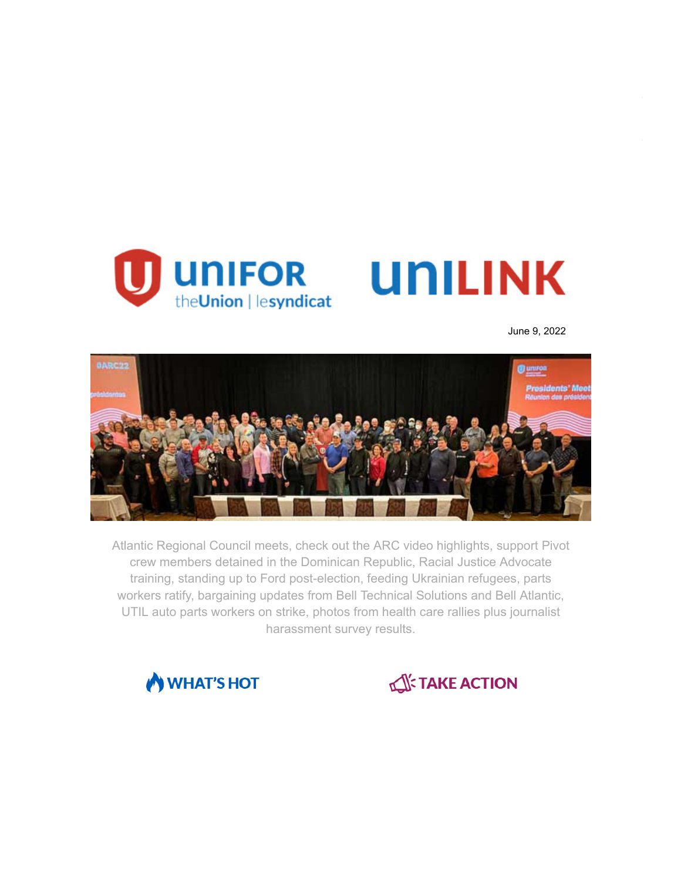

June 9, 2022



Atlantic Regional Council meets, check out the ARC video highlights, support Pivot crew members detained in the Dominican Republic, Racial Justice Advocate training, standing up to Ford post-election, feeding Ukrainian refugees, parts workers ratify, bargaining updates from Bell Technical Solutions and Bell Atlantic, UTIL auto parts workers on strike, photos from health care rallies plus journalist harassment survey results.



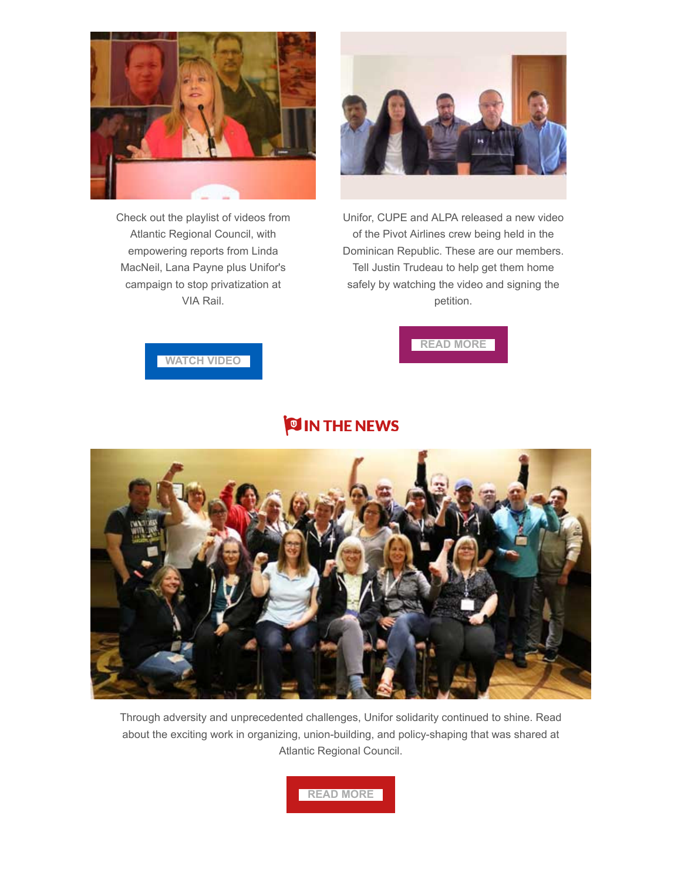

Check out the playlist of videos from Atlantic Regional Council, with empowering reports from Linda MacNeil, Lana Payne plus Unifor's campaign to stop privatization at VIA Rail.



Unifor, CUPE and ALPA released a new video of the Pivot Airlines crew being held in the Dominican Republic. These are our members. Tell Justin Trudeau to help get them home safely by watching the video and signing the petition.

**[READ MORE](https://www.unifor.org/campaigns/all-campaigns/help-free-unifor-member-held-dr)**



## **OIN THE NEWS**



Through adversity and unprecedented challenges, Unifor solidarity continued to shine. Read about the exciting work in organizing, union-building, and policy-shaping that was shared at Atlantic Regional Council.

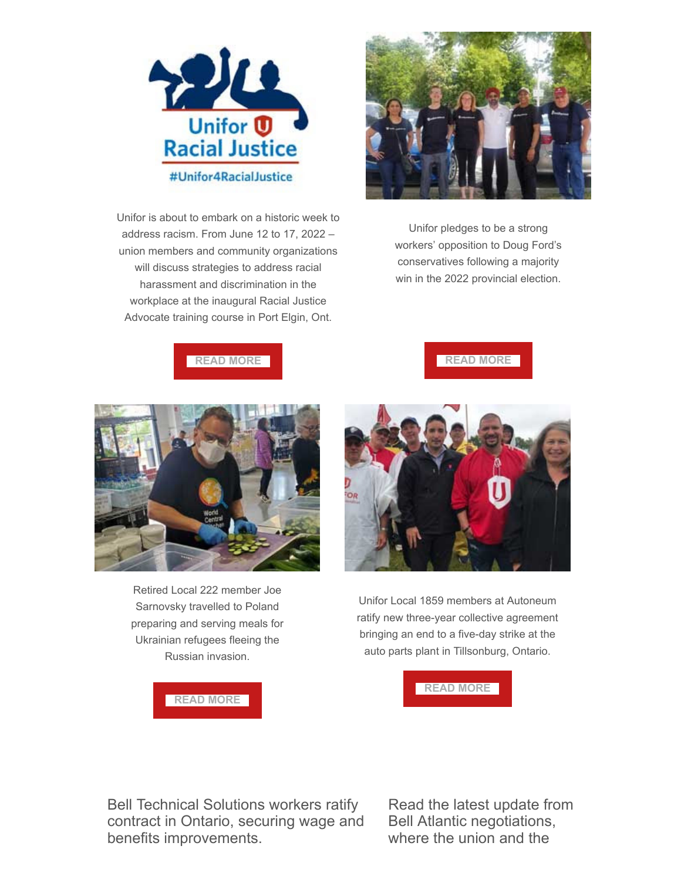

Unifor is about to embark on a historic week to address racism. From June 12 to 17, 2022 – union members and community organizations will discuss strategies to address racial harassment and discrimination in the workplace at the inaugural Racial Justice Advocate training course in Port Elgin, Ont.



Unifor pledges to be a strong workers' opposition to Doug Ford's conservatives following a majority win in the 2022 provincial election.







Retired Local 222 member Joe Sarnovsky travelled to Poland preparing and serving meals for Ukrainian refugees fleeing the Russian invasion.





Unifor Local 1859 members at Autoneum ratify new three-year collective agreement bringing an end to a five-day strike at the auto parts plant in Tillsonburg, Ontario.



Bell Technical Solutions workers ratify contract in Ontario, securing wage and benefits improvements.

Read the latest update from Bell Atlantic negotiations, where the union and the